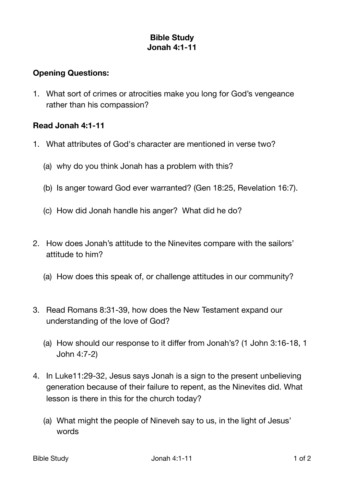## **Bible Study Jonah 4:1-11**

## **Opening Questions:**

1. What sort of crimes or atrocities make you long for God's vengeance rather than his compassion?

## **Read Jonah 4:1-11**

- 1. What attributes of God's character are mentioned in verse two?
	- (a) why do you think Jonah has a problem with this?
	- (b) Is anger toward God ever warranted? (Gen 18:25, Revelation 16:7).
	- (c) How did Jonah handle his anger? What did he do?
- 2. How does Jonah's attitude to the Ninevites compare with the sailors' attitude to him?
	- (a) How does this speak of, or challenge attitudes in our community?
- 3. Read Romans 8:31-39, how does the New Testament expand our understanding of the love of God?
	- (a) How should our response to it differ from Jonah's? (1 John 3:16-18, 1 John 4:7-2)
- 4. In Luke11:29-32, Jesus says Jonah is a sign to the present unbelieving generation because of their failure to repent, as the Ninevites did. What lesson is there in this for the church today?
	- (a) What might the people of Nineveh say to us, in the light of Jesus' words